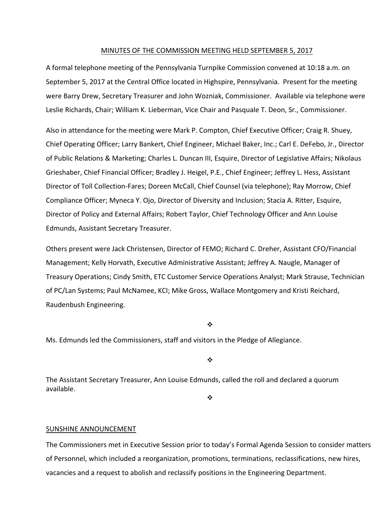#### MINUTES OF THE COMMISSION MEETING HELD SEPTEMBER 5, 2017

A formal telephone meeting of the Pennsylvania Turnpike Commission convened at 10:18 a.m. on September 5, 2017 at the Central Office located in Highspire, Pennsylvania. Present for the meeting were Barry Drew, Secretary Treasurer and John Wozniak, Commissioner. Available via telephone were Leslie Richards, Chair; William K. Lieberman, Vice Chair and Pasquale T. Deon, Sr., Commissioner.

Also in attendance for the meeting were Mark P. Compton, Chief Executive Officer; Craig R. Shuey, Chief Operating Officer; Larry Bankert, Chief Engineer, Michael Baker, Inc.; Carl E. DeFebo, Jr., Director of Public Relations & Marketing; Charles L. Duncan III, Esquire, Director of Legislative Affairs; Nikolaus Grieshaber, Chief Financial Officer; Bradley J. Heigel, P.E., Chief Engineer; Jeffrey L. Hess, Assistant Director of Toll Collection‐Fares; Doreen McCall, Chief Counsel (via telephone); Ray Morrow, Chief Compliance Officer; Myneca Y. Ojo, Director of Diversity and Inclusion; Stacia A. Ritter, Esquire, Director of Policy and External Affairs; Robert Taylor, Chief Technology Officer and Ann Louise Edmunds, Assistant Secretary Treasurer.

Others present were Jack Christensen, Director of FEMO; Richard C. Dreher, Assistant CFO/Financial Management; Kelly Horvath, Executive Administrative Assistant; Jeffrey A. Naugle, Manager of Treasury Operations; Cindy Smith, ETC Customer Service Operations Analyst; Mark Strause, Technician of PC/Lan Systems; Paul McNamee, KCI; Mike Gross, Wallace Montgomery and Kristi Reichard, Raudenbush Engineering.

❖

Ms. Edmunds led the Commissioners, staff and visitors in the Pledge of Allegiance.

❖

The Assistant Secretary Treasurer, Ann Louise Edmunds, called the roll and declared a quorum available.

 $\frac{1}{2}$ 

#### SUNSHINE ANNOUNCEMENT

The Commissioners met in Executive Session prior to today's Formal Agenda Session to consider matters of Personnel, which included a reorganization, promotions, terminations, reclassifications, new hires, vacancies and a request to abolish and reclassify positions in the Engineering Department.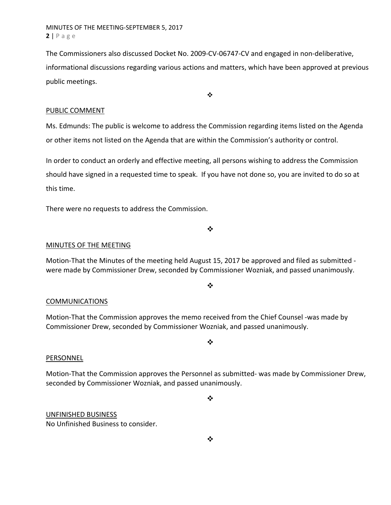MINUTES OF THE MEETING‐SEPTEMBER 5, 2017 **2** | Page

The Commissioners also discussed Docket No. 2009-CV-06747-CV and engaged in non-deliberative, informational discussions regarding various actions and matters, which have been approved at previous public meetings.

 $\ddot{\bullet}$ 

#### PUBLIC COMMENT

Ms. Edmunds: The public is welcome to address the Commission regarding items listed on the Agenda or other items not listed on the Agenda that are within the Commission's authority or control.

In order to conduct an orderly and effective meeting, all persons wishing to address the Commission should have signed in a requested time to speak. If you have not done so, you are invited to do so at this time.

There were no requests to address the Commission.

MINUTES OF THE MEETING

Motion‐That the Minutes of the meeting held August 15, 2017 be approved and filed as submitted ‐ were made by Commissioner Drew, seconded by Commissioner Wozniak, and passed unanimously.

 $\cdot$ 

❖

#### **COMMUNICATIONS**

Motion‐That the Commission approves the memo received from the Chief Counsel ‐was made by Commissioner Drew, seconded by Commissioner Wozniak, and passed unanimously.

 $\cdot$ 

#### PERSONNEL

Motion‐That the Commission approves the Personnel as submitted‐ was made by Commissioner Drew, seconded by Commissioner Wozniak, and passed unanimously.

 $\cdot$ 

UNFINISHED BUSINESS

No Unfinished Business to consider.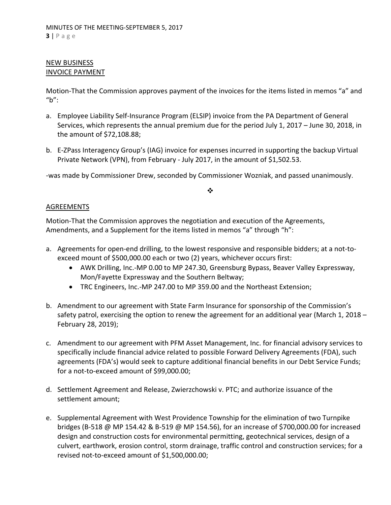## NEW BUSINESS INVOICE PAYMENT

Motion‐That the Commission approves payment of the invoices for the items listed in memos "a" and "b":

- a. Employee Liability Self-Insurance Program (ELSIP) invoice from the PA Department of General Services, which represents the annual premium due for the period July 1, 2017 – June 30, 2018, in the amount of \$72,108.88;
- b. E-ZPass Interagency Group's (IAG) invoice for expenses incurred in supporting the backup Virtual Private Network (VPN), from February ‐ July 2017, in the amount of \$1,502.53.

‐was made by Commissioner Drew, seconded by Commissioner Wozniak, and passed unanimously.

#### ❖

## AGREEMENTS

Motion‐That the Commission approves the negotiation and execution of the Agreements, Amendments, and a Supplement for the items listed in memos "a" through "h":

- a. Agreements for open-end drilling, to the lowest responsive and responsible bidders; at a not-toexceed mount of \$500,000.00 each or two (2) years, whichever occurs first:
	- AWK Drilling, Inc.‐MP 0.00 to MP 247.30, Greensburg Bypass, Beaver Valley Expressway, Mon/Fayette Expressway and the Southern Beltway;
	- TRC Engineers, Inc.‐MP 247.00 to MP 359.00 and the Northeast Extension;
- b. Amendment to our agreement with State Farm Insurance for sponsorship of the Commission's safety patrol, exercising the option to renew the agreement for an additional year (March 1, 2018 -February 28, 2019);
- c. Amendment to our agreement with PFM Asset Management, Inc. for financial advisory services to specifically include financial advice related to possible Forward Delivery Agreements (FDA), such agreements (FDA's) would seek to capture additional financial benefits in our Debt Service Funds; for a not‐to‐exceed amount of \$99,000.00;
- d. Settlement Agreement and Release, Zwierzchowski v. PTC; and authorize issuance of the settlement amount;
- e. Supplemental Agreement with West Providence Township for the elimination of two Turnpike bridges (B‐518 @ MP 154.42 & B‐519 @ MP 154.56), for an increase of \$700,000.00 for increased design and construction costs for environmental permitting, geotechnical services, design of a culvert, earthwork, erosion control, storm drainage, traffic control and construction services; for a revised not‐to‐exceed amount of \$1,500,000.00;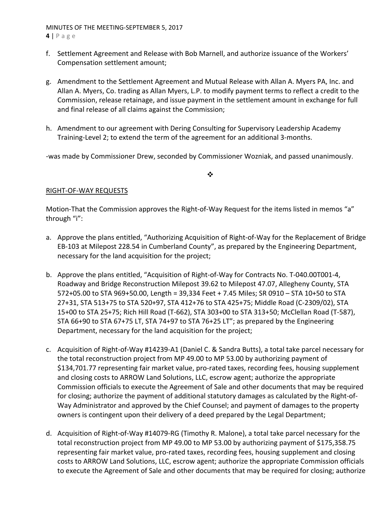MINUTES OF THE MEETING‐SEPTEMBER 5, 2017

**4** | Page

- f. Settlement Agreement and Release with Bob Marnell, and authorize issuance of the Workers' Compensation settlement amount;
- g. Amendment to the Settlement Agreement and Mutual Release with Allan A. Myers PA, Inc. and Allan A. Myers, Co. trading as Allan Myers, L.P. to modify payment terms to reflect a credit to the Commission, release retainage, and issue payment in the settlement amount in exchange for full and final release of all claims against the Commission;
- h. Amendment to our agreement with Dering Consulting for Supervisory Leadership Academy Training‐Level 2; to extend the term of the agreement for an additional 3‐months.

‐was made by Commissioner Drew, seconded by Commissioner Wozniak, and passed unanimously.

 $\frac{1}{2}$ 

# RIGHT‐OF‐WAY REQUESTS

Motion-That the Commission approves the Right-of-Way Request for the items listed in memos "a" through "i":

- a. Approve the plans entitled, "Authorizing Acquisition of Right‐of‐Way for the Replacement of Bridge EB‐103 at Milepost 228.54 in Cumberland County", as prepared by the Engineering Department, necessary for the land acquisition for the project;
- b. Approve the plans entitled, "Acquisition of Right‐of‐Way for Contracts No. T‐040.00T001‐4, Roadway and Bridge Reconstruction Milepost 39.62 to Milepost 47.07, Allegheny County, STA 572+05.00 to STA 969+50.00, Length = 39,334 Feet + 7.45 Miles; SR 0910 – STA 10+50 to STA 27+31, STA 513+75 to STA 520+97, STA 412+76 to STA 425+75; Middle Road (C‐2309/02), STA 15+00 to STA 25+75; Rich Hill Road (T‐662), STA 303+00 to STA 313+50; McClellan Road (T‐587), STA 66+90 to STA 67+75 LT, STA 74+97 to STA 76+25 LT"; as prepared by the Engineering Department, necessary for the land acquisition for the project;
- c. Acquisition of Right‐of‐Way #14239‐A1 (Daniel C. & Sandra Butts), a total take parcel necessary for the total reconstruction project from MP 49.00 to MP 53.00 by authorizing payment of \$134,701.77 representing fair market value, pro‐rated taxes, recording fees, housing supplement and closing costs to ARROW Land Solutions, LLC, escrow agent; authorize the appropriate Commission officials to execute the Agreement of Sale and other documents that may be required for closing; authorize the payment of additional statutory damages as calculated by the Right‐of‐ Way Administrator and approved by the Chief Counsel; and payment of damages to the property owners is contingent upon their delivery of a deed prepared by the Legal Department;
- d. Acquisition of Right‐of‐Way #14079‐RG (Timothy R. Malone), a total take parcel necessary for the total reconstruction project from MP 49.00 to MP 53.00 by authorizing payment of \$175,358.75 representing fair market value, pro‐rated taxes, recording fees, housing supplement and closing costs to ARROW Land Solutions, LLC, escrow agent; authorize the appropriate Commission officials to execute the Agreement of Sale and other documents that may be required for closing; authorize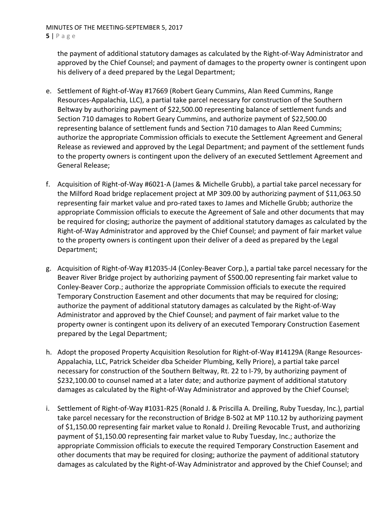MINUTES OF THE MEETING‐SEPTEMBER 5, 2017 **5** | Page

the payment of additional statutory damages as calculated by the Right‐of‐Way Administrator and approved by the Chief Counsel; and payment of damages to the property owner is contingent upon his delivery of a deed prepared by the Legal Department;

- e. Settlement of Right‐of‐Way #17669 (Robert Geary Cummins, Alan Reed Cummins, Range Resources‐Appalachia, LLC), a partial take parcel necessary for construction of the Southern Beltway by authorizing payment of \$22,500.00 representing balance of settlement funds and Section 710 damages to Robert Geary Cummins, and authorize payment of \$22,500.00 representing balance of settlement funds and Section 710 damages to Alan Reed Cummins; authorize the appropriate Commission officials to execute the Settlement Agreement and General Release as reviewed and approved by the Legal Department; and payment of the settlement funds to the property owners is contingent upon the delivery of an executed Settlement Agreement and General Release;
- f. Acquisition of Right‐of‐Way #6021‐A (James & Michelle Grubb), a partial take parcel necessary for the Milford Road bridge replacement project at MP 309.00 by authorizing payment of \$11,063.50 representing fair market value and pro‐rated taxes to James and Michelle Grubb; authorize the appropriate Commission officials to execute the Agreement of Sale and other documents that may be required for closing; authorize the payment of additional statutory damages as calculated by the Right‐of‐Way Administrator and approved by the Chief Counsel; and payment of fair market value to the property owners is contingent upon their deliver of a deed as prepared by the Legal Department;
- g. Acquisition of Right‐of‐Way #12035‐J4 (Conley‐Beaver Corp.), a partial take parcel necessary for the Beaver River Bridge project by authorizing payment of \$500.00 representing fair market value to Conley‐Beaver Corp.; authorize the appropriate Commission officials to execute the required Temporary Construction Easement and other documents that may be required for closing; authorize the payment of additional statutory damages as calculated by the Right‐of‐Way Administrator and approved by the Chief Counsel; and payment of fair market value to the property owner is contingent upon its delivery of an executed Temporary Construction Easement prepared by the Legal Department;
- h. Adopt the proposed Property Acquisition Resolution for Right‐of‐Way #14129A (Range Resources‐ Appalachia, LLC, Patrick Scheider dba Scheider Plumbing, Kelly Priore), a partial take parcel necessary for construction of the Southern Beltway, Rt. 22 to I‐79, by authorizing payment of \$232,100.00 to counsel named at a later date; and authorize payment of additional statutory damages as calculated by the Right‐of‐Way Administrator and approved by the Chief Counsel;
- i. Settlement of Right‐of‐Way #1031‐R25 (Ronald J. & Priscilla A. Dreiling, Ruby Tuesday, Inc.), partial take parcel necessary for the reconstruction of Bridge B‐502 at MP 110.12 by authorizing payment of \$1,150.00 representing fair market value to Ronald J. Dreiling Revocable Trust, and authorizing payment of \$1,150.00 representing fair market value to Ruby Tuesday, Inc.; authorize the appropriate Commission officials to execute the required Temporary Construction Easement and other documents that may be required for closing; authorize the payment of additional statutory damages as calculated by the Right‐of‐Way Administrator and approved by the Chief Counsel; and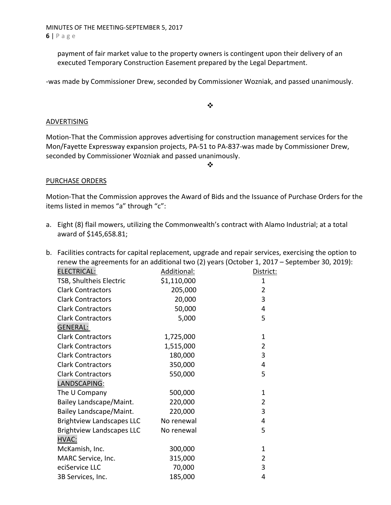MINUTES OF THE MEETING‐SEPTEMBER 5, 2017 **6** | Page

payment of fair market value to the property owners is contingent upon their delivery of an executed Temporary Construction Easement prepared by the Legal Department.

‐was made by Commissioner Drew, seconded by Commissioner Wozniak, and passed unanimously.

 $\bullet^{\bullet}_{\bullet} \bullet$ 

#### ADVERTISING

Motion‐That the Commission approves advertising for construction management services for the Mon/Fayette Expressway expansion projects, PA‐51 to PA‐837‐was made by Commissioner Drew, seconded by Commissioner Wozniak and passed unanimously.

 $\cdot \cdot$ 

#### PURCHASE ORDERS

Motion‐That the Commission approves the Award of Bids and the Issuance of Purchase Orders for the items listed in memos "a" through "c":

a. Eight (8) flail mowers, utilizing the Commonwealth's contract with Alamo Industrial; at a total award of \$145,658.81;

|                                  |             | b. Facilities contracts for capital replacement, upgrade and repair services, exercising the option to |  |
|----------------------------------|-------------|--------------------------------------------------------------------------------------------------------|--|
|                                  |             | renew the agreements for an additional two (2) years (October 1, 2017 - September 30, 2019):           |  |
| <b>ELECTRICAL:</b>               | Additional: | District:                                                                                              |  |
| TSB, Shultheis Electric          | \$1,110,000 | 1                                                                                                      |  |
| <b>Clark Contractors</b>         | 205,000     | $\overline{2}$                                                                                         |  |
| <b>Clark Contractors</b>         | 20,000      | 3                                                                                                      |  |
| <b>Clark Contractors</b>         | 50,000      | 4                                                                                                      |  |
| <b>Clark Contractors</b>         | 5,000       | 5                                                                                                      |  |
| <b>GENERAL:</b>                  |             |                                                                                                        |  |
| <b>Clark Contractors</b>         | 1,725,000   | 1                                                                                                      |  |
| <b>Clark Contractors</b>         | 1,515,000   | $\overline{2}$                                                                                         |  |
| <b>Clark Contractors</b>         | 180,000     | 3                                                                                                      |  |
| <b>Clark Contractors</b>         | 350,000     | 4                                                                                                      |  |
| <b>Clark Contractors</b>         | 550,000     | 5                                                                                                      |  |
| LANDSCAPING:                     |             |                                                                                                        |  |
| The U Company                    | 500,000     | 1                                                                                                      |  |
| Bailey Landscape/Maint.          | 220,000     | $\overline{2}$                                                                                         |  |
| Bailey Landscape/Maint.          | 220,000     | 3                                                                                                      |  |
| <b>Brightview Landscapes LLC</b> | No renewal  | 4                                                                                                      |  |
| <b>Brightview Landscapes LLC</b> | No renewal  | 5                                                                                                      |  |
| HVAC:                            |             |                                                                                                        |  |
| McKamish, Inc.                   | 300,000     | 1                                                                                                      |  |
| MARC Service, Inc.               | 315,000     | $\overline{2}$                                                                                         |  |
| eciService LLC                   | 70,000      | 3                                                                                                      |  |
| 3B Services, Inc.                | 185,000     | 4                                                                                                      |  |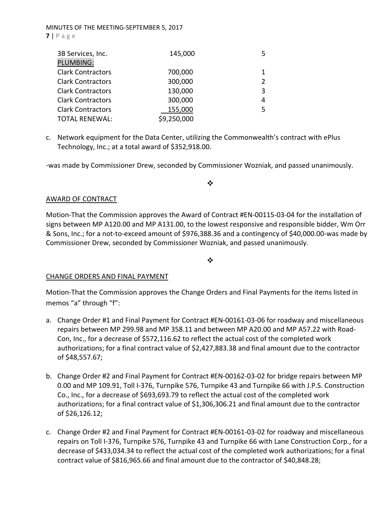#### MINUTES OF THE MEETING‐SEPTEMBER 5, 2017 **7** | Page

| 3B Services, Inc.        | 145,000     |                |
|--------------------------|-------------|----------------|
| PLUMBING:                |             |                |
| <b>Clark Contractors</b> | 700,000     |                |
| <b>Clark Contractors</b> | 300,000     | $\overline{2}$ |
| <b>Clark Contractors</b> | 130,000     | 3              |
| <b>Clark Contractors</b> | 300,000     | 4              |
| <b>Clark Contractors</b> | 155,000     | 5              |
| <b>TOTAL RENEWAL:</b>    | \$9,250,000 |                |

c. Network equipment for the Data Center, utilizing the Commonwealth's contract with ePlus Technology, Inc.; at a total award of \$352,918.00.

‐was made by Commissioner Drew, seconded by Commissioner Wozniak, and passed unanimously.

# ❖

#### AWARD OF CONTRACT

Motion‐That the Commission approves the Award of Contract #EN‐00115‐03‐04 for the installation of signs between MP A120.00 and MP A131.00, to the lowest responsive and responsible bidder, Wm Orr & Sons, Inc.; for a not‐to‐exceed amount of \$976,388.36 and a contingency of \$40,000.00‐was made by Commissioner Drew, seconded by Commissioner Wozniak, and passed unanimously.

 $\bullet^{\bullet}_{\mathbf{a}^{\bullet}}$ 

## CHANGE ORDERS AND FINAL PAYMENT

Motion‐That the Commission approves the Change Orders and Final Payments for the items listed in memos "a" through "f":

- a. Change Order #1 and Final Payment for Contract #EN‐00161‐03‐06 for roadway and miscellaneous repairs between MP 299.98 and MP 358.11 and between MP A20.00 and MP A57.22 with Road‐ Con, Inc., for a decrease of \$572,116.62 to reflect the actual cost of the completed work authorizations; for a final contract value of \$2,427,883.38 and final amount due to the contractor of \$48,557.67;
- b. Change Order #2 and Final Payment for Contract #EN‐00162‐03‐02 for bridge repairs between MP 0.00 and MP 109.91, Toll I‐376, Turnpike 576, Turnpike 43 and Turnpike 66 with J.P.S. Construction Co., Inc., for a decrease of \$693,693.79 to reflect the actual cost of the completed work authorizations; for a final contract value of \$1,306,306.21 and final amount due to the contractor of \$26,126.12;
- c. Change Order #2 and Final Payment for Contract #EN‐00161‐03‐02 for roadway and miscellaneous repairs on Toll I‐376, Turnpike 576, Turnpike 43 and Turnpike 66 with Lane Construction Corp., for a decrease of \$433,034.34 to reflect the actual cost of the completed work authorizations; for a final contract value of \$816,965.66 and final amount due to the contractor of \$40,848.28;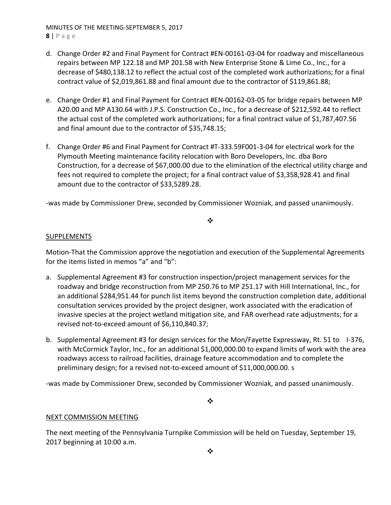MINUTES OF THE MEETING‐SEPTEMBER 5, 2017 **8** | Page

- d. Change Order #2 and Final Payment for Contract #EN‐00161‐03‐04 for roadway and miscellaneous repairs between MP 122.18 and MP 201.58 with New Enterprise Stone & Lime Co., Inc., for a decrease of \$480,138.12 to reflect the actual cost of the completed work authorizations; for a final contract value of \$2,019,861.88 and final amount due to the contractor of \$119,861.88;
- e. Change Order #1 and Final Payment for Contract #EN‐00162‐03‐05 for bridge repairs between MP A20.00 and MP A130.64 with J.P.S. Construction Co., Inc., for a decrease of \$212,592.44 to reflect the actual cost of the completed work authorizations; for a final contract value of \$1,787,407.56 and final amount due to the contractor of \$35,748.15;
- f. Change Order #6 and Final Payment for Contract #T‐333.59F001‐3‐04 for electrical work for the Plymouth Meeting maintenance facility relocation with Boro Developers, Inc. dba Boro Construction, for a decrease of \$67,000.00 due to the elimination of the electrical utility charge and fees not required to complete the project; for a final contract value of \$3,358,928.41 and final amount due to the contractor of \$33,5289.28.

‐was made by Commissioner Drew, seconded by Commissioner Wozniak, and passed unanimously.

#### $\cdot$

## SUPPLEMENTS

Motion‐That the Commission approve the negotiation and execution of the Supplemental Agreements for the items listed in memos "a" and "b":

- a. Supplemental Agreement #3 for construction inspection/project management services for the roadway and bridge reconstruction from MP 250.76 to MP 251.17 with Hill International, Inc., for an additional \$284,951.44 for punch list items beyond the construction completion date, additional consultation services provided by the project designer, work associated with the eradication of invasive species at the project wetland mitigation site, and FAR overhead rate adjustments; for a revised not‐to‐exceed amount of \$6,110,840.37;
- b. Supplemental Agreement #3 for design services for the Mon/Fayette Expressway, Rt. 51 to I-376, with McCormick Taylor, Inc., for an additional \$1,000,000.00 to expand limits of work with the area roadways access to railroad facilities, drainage feature accommodation and to complete the preliminary design; for a revised not‐to‐exceed amount of \$11,000,000.00. s

‐was made by Commissioner Drew, seconded by Commissioner Wozniak, and passed unanimously.

 $\frac{1}{2}$ 

# NEXT COMMISSION MEETING

The next meeting of the Pennsylvania Turnpike Commission will be held on Tuesday, September 19, 2017 beginning at 10:00 a.m.